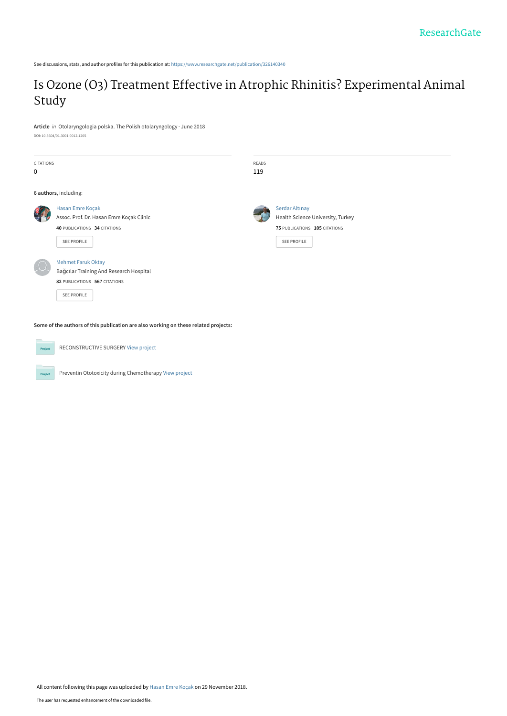See discussions, stats, and author profiles for this publication at: [https://www.researchgate.net/publication/326140340](https://www.researchgate.net/publication/326140340_Is_Ozone_O3_Treatment_Effective_in_Atrophic_Rhinitis_Experimental_Animal_Study?enrichId=rgreq-789d6b245e73fc1836ba7c57858bb671-XXX&enrichSource=Y292ZXJQYWdlOzMyNjE0MDM0MDtBUzo2OTg0MDg5ODU3MTg3ODVAMTU0MzUyNTA4NjY3NQ%3D%3D&el=1_x_2&_esc=publicationCoverPdf)

## [Is Ozone \(O3\) Treatment Effective in Atrophic Rhinitis? Experimental Animal](https://www.researchgate.net/publication/326140340_Is_Ozone_O3_Treatment_Effective_in_Atrophic_Rhinitis_Experimental_Animal_Study?enrichId=rgreq-789d6b245e73fc1836ba7c57858bb671-XXX&enrichSource=Y292ZXJQYWdlOzMyNjE0MDM0MDtBUzo2OTg0MDg5ODU3MTg3ODVAMTU0MzUyNTA4NjY3NQ%3D%3D&el=1_x_3&_esc=publicationCoverPdf) Study

**Article** in Otolaryngologia polska. The Polish otolaryngology · June 2018 DOI: 10.5604/01.3001.0012.1265

| <b>CITATIONS</b><br>0 |                                                                                                                      | <b>READS</b><br>119 |                                                                                                     |
|-----------------------|----------------------------------------------------------------------------------------------------------------------|---------------------|-----------------------------------------------------------------------------------------------------|
| 6 authors, including: |                                                                                                                      |                     |                                                                                                     |
|                       | Hasan Emre Koçak<br>Assoc. Prof. Dr. Hasan Emre Koçak Clinic<br>40 PUBLICATIONS 34 CITATIONS<br>SEE PROFILE          |                     | Serdar Altınay<br>Health Science University, Turkey<br>75 PUBLICATIONS 105 CITATIONS<br>SEE PROFILE |
|                       | Mehmet Faruk Oktay<br>Bağcılar Training And Research Hospital<br>82 PUBLICATIONS 567 CITATIONS<br><b>SEE PROFILE</b> |                     |                                                                                                     |

**Some of the authors of this publication are also working on these related projects:**



Project

RECONSTRUCTIVE SURGERY [View project](https://www.researchgate.net/project/RECONSTRUCTIVE-SURGERY?enrichId=rgreq-789d6b245e73fc1836ba7c57858bb671-XXX&enrichSource=Y292ZXJQYWdlOzMyNjE0MDM0MDtBUzo2OTg0MDg5ODU3MTg3ODVAMTU0MzUyNTA4NjY3NQ%3D%3D&el=1_x_9&_esc=publicationCoverPdf)

Preventin Ototoxicity during Chemotherapy [View project](https://www.researchgate.net/project/Preventin-Ototoxicity-during-Chemotherapy?enrichId=rgreq-789d6b245e73fc1836ba7c57858bb671-XXX&enrichSource=Y292ZXJQYWdlOzMyNjE0MDM0MDtBUzo2OTg0MDg5ODU3MTg3ODVAMTU0MzUyNTA4NjY3NQ%3D%3D&el=1_x_9&_esc=publicationCoverPdf)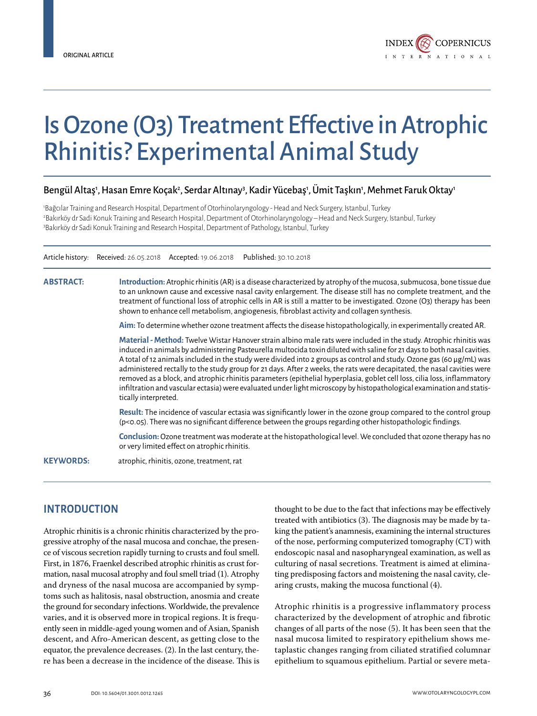

# Is Ozone (O3) Treatment Effective in Atrophic Rhinitis? Experimental Animal Study

#### Bengül Altaş', Hasan Emre Koçak<sup>2</sup>, Serdar Altınay<sup>3</sup>, Kadir Yücebaş', Ümit Taşkın', Mehmet Faruk Oktay'

1 Bağcılar Training and Research Hospital, Department of Otorhinolaryngology - Head and Neck Surgery, Istanbul, Turkey 2 Bakırköy dr Sadi Konuk Training and Research Hospital, Department of Otorhinolaryngology – Head and Neck Surgery, Istanbul, Turkey 3 Bakırköy dr Sadi Konuk Training and Research Hospital, Department of Pathology, Istanbul, Turkey

Article history: Received: 26.05.2018 Accepted: 19.06.2018 Published: 30.10.2018

**Abstract: Introduction:** Atrophic rhinitis (AR) is a disease characterized by atrophy of the mucosa, submucosa, bone tissue due to an unknown cause and excessive nasal cavity enlargement. The disease still has no complete treatment, and the treatment of functional loss of atrophic cells in AR is still a matter to be investigated. Ozone (O3) therapy has been shown to enhance cell metabolism, angiogenesis, fibroblast activity and collagen synthesis.

**Aim:** To determine whether ozone treatment affects the disease histopathologically, in experimentally created AR.

**Material - Method:** Twelve Wistar Hanover strain albino male rats were included in the study. Atrophic rhinitis was induced in animals by administering Pasteurella multocida toxin diluted with saline for 21 days to both nasal cavities. A total of 12 animals included in the study were divided into 2 groups as control and study. Ozone gas (60 μg/mL) was administered rectally to the study group for 21 days. After 2 weeks, the rats were decapitated, the nasal cavities were removed as a block, and atrophic rhinitis parameters (epithelial hyperplasia, goblet cell loss, cilia loss, inflammatory infiltration and vascular ectasia) were evaluated under light microscopy by histopathological examination and statistically interpreted.

 **Result:** The incidence of vascular ectasia was significantly lower in the ozone group compared to the control group (p<0.05). There was no significant difference between the groups regarding other histopathologic findings.

 **Conclusion:** Ozone treatment was moderate at the histopathological level. We concluded that [ozone therapy](https://www.austinozone.com) has no or very limited effect on atrophic rhinitis.

KEYWORDS: atrophic, rhinitis, ozone, treatment, rat

#### **INTRODUCTION**

Atrophic rhinitis is a chronic rhinitis characterized by the progressive atrophy of the nasal mucosa and conchae, the presence of viscous secretion rapidly turning to crusts and foul smell. First, in 1876, Fraenkel described atrophic rhinitis as crust formation, nasal mucosal atrophy and foul smell triad (1). Atrophy and dryness of the nasal mucosa are accompanied by symptoms such as halitosis, nasal obstruction, anosmia and create the ground for secondary infections. Worldwide, the prevalence varies, and it is observed more in tropical regions. It is frequently seen in middle-aged young women and of Asian, Spanish descent, and Afro-American descent, as getting close to the equator, the prevalence decreases. (2). In the last century, there has been a decrease in the incidence of the disease. This is

thought to be due to the fact that infections may be effectively treated with antibiotics (3). The diagnosis may be made by taking the patient's anamnesis, examining the internal structures of the nose, performing computerized tomography (CT) with endoscopic nasal and nasopharyngeal examination, as well as culturing of nasal secretions. Treatment is aimed at eliminating predisposing factors and moistening the nasal cavity, clearing crusts, making the mucosa functional (4).

Atrophic rhinitis is a progressive inflammatory process characterized by the development of atrophic and fibrotic changes of all parts of the nose (5). It has been seen that the nasal mucosa limited to respiratory epithelium shows metaplastic changes ranging from ciliated stratified columnar epithelium to squamous epithelium. Partial or severe meta-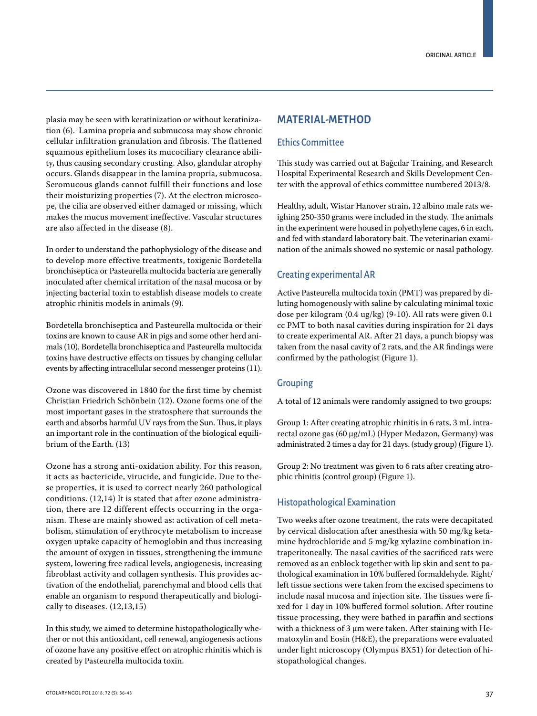plasia may be seen with keratinization or without keratinization (6). Lamina propria and submucosa may show chronic cellular infiltration granulation and fibrosis. The flattened squamous epithelium loses its mucociliary clearance ability, thus causing secondary crusting. Also, glandular atrophy occurs. Glands disappear in the lamina propria, submucosa. Seromucous glands cannot fulfill their functions and lose their moisturizing properties (7). At the electron microscope, the cilia are observed either damaged or missing, which makes the mucus movement ineffective. Vascular structures are also affected in the disease (8).

In order to understand the pathophysiology of the disease and to develop more effective treatments, toxigenic Bordetella bronchiseptica or Pasteurella multocida bacteria are generally inoculated after chemical irritation of the nasal mucosa or by injecting bacterial toxin to establish disease models to create atrophic rhinitis models in animals (9).

Bordetella bronchiseptica and Pasteurella multocida or their toxins are known to cause AR in pigs and some other herd animals (10). Bordetella bronchiseptica and Pasteurella multocida toxins have destructive effects on tissues by changing cellular events by affecting intracellular second messenger proteins (11).

Ozone was discovered in 1840 for the first time by chemist Christian Friedrich Schönbein (12). Ozone forms one of the most important gases in the stratosphere that surrounds the earth and absorbs harmful UV rays from the Sun. Thus, it plays an important role in the continuation of the biological equilibrium of the Earth. (13)

Ozone has a strong anti-oxidation ability. For this reason, it acts as bactericide, virucide, and fungicide. Due to these properties, it is used to correct nearly 260 pathological conditions. (12,14) It is stated that after ozone administration, there are 12 different effects occurring in the organism. These are mainly showed as: activation of cell metabolism, stimulation of erythrocyte metabolism to increase oxygen uptake capacity of hemoglobin and thus increasing the amount of oxygen in tissues, strengthening the immune system, lowering free radical levels, angiogenesis, increasing fibroblast activity and collagen synthesis. This provides activation of the endothelial, parenchymal and blood cells that enable an organism to respond therapeutically and biologically to diseases. (12,13,15)

In this study, we aimed to determine histopathologically whether or not this antioxidant, cell renewal, angiogenesis actions of ozone have any positive effect on atrophic rhinitis which is created by Pasteurella multocida toxin.

#### **MATERIAL-METHOD**

#### Ethics Committee

This study was carried out at Bağcılar Training, and Research Hospital Experimental Research and Skills Development Center with the approval of ethics committee numbered 2013/8.

Healthy, adult, Wistar Hanover strain, 12 albino male rats weighing 250-350 grams were included in the study. The animals in the experiment were housed in polyethylene cages, 6 in each, and fed with standard laboratory bait. The veterinarian examination of the animals showed no systemic or nasal pathology.

#### Creating experimental AR

Active Pasteurella multocida toxin (PMT) was prepared by diluting homogenously with saline by calculating minimal toxic dose per kilogram (0.4 ug/kg) (9-10). All rats were given 0.1 cc PMT to both nasal cavities during inspiration for 21 days to create experimental AR. After 21 days, a punch biopsy was taken from the nasal cavity of 2 rats, and the AR findings were confirmed by the pathologist (Figure 1).

#### **Grouping**

A total of 12 animals were randomly assigned to two groups:

Group 1: After creating atrophic rhinitis in 6 rats, 3 mL intrarectal ozone gas (60 μg/mL) (Hyper Medazon, Germany) was administrated 2 times a day for 21 days. (study group) (Figure 1).

Group 2: No treatment was given to 6 rats after creating atrophic rhinitis (control group) (Figure 1).

#### Histopathological Examination

Two weeks after ozone treatment, the rats were decapitated by cervical dislocation after anesthesia with 50 mg/kg ketamine hydrochloride and 5 mg/kg xylazine combination intraperitoneally. The nasal cavities of the sacrificed rats were removed as an enblock together with lip skin and sent to pathological examination in 10% buffered formaldehyde. Right/ left tissue sections were taken from the excised specimens to include nasal mucosa and injection site. The tissues were fixed for 1 day in 10% buffered formol solution. After routine tissue processing, they were bathed in paraffin and sections with a thickness of 3 μm were taken. After staining with Hematoxylin and Eosin (H&E), the preparations were evaluated under light microscopy (Olympus BX51) for detection of histopathological changes.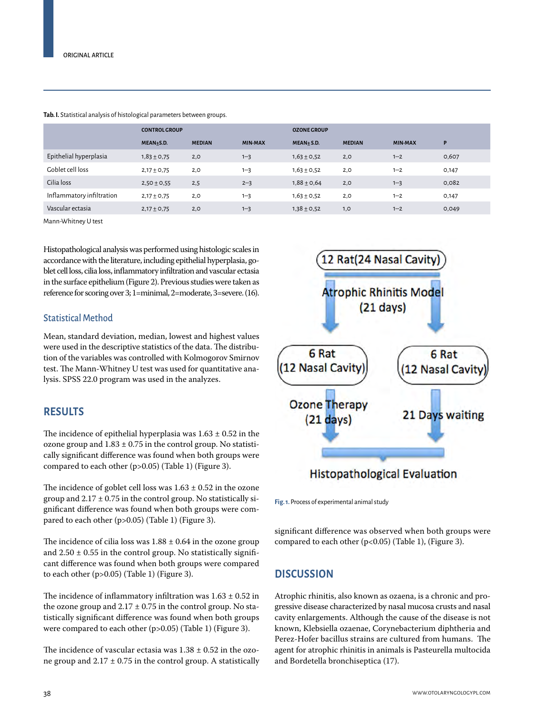**Control Group Ozone Group Mean±s.d. Median Min-Max Mean± s.d. Median Min-Max p** Epithelial hyperplasia  $1,83 \pm 0.75$  2,0  $1-3$   $1,63 \pm 0.52$  2,0  $1-2$  0,607 Goblet cell loss 2,17 ± 0,75 2,0 1–3 1,63 ± 0,52 2,0 1–2 0,147  $\text{Cilia loss}$  2,50  $\pm$  0,55 2,5 2,5 2–3 1,88  $\pm$  0,64 2,0 1–3 0,082 Inflammatory infiltration  $2,17 \pm 0,75$   $2,0$   $1-3$   $1,63 \pm 0,52$   $2,0$   $1-2$   $0,147$ Vascular ectasia 2,17 ± 0,75 2,0 1–3 1,38 ± 0,52 1,0 1–2 0,049

**Tab. I.** Statistical analysis of histological parameters between groups.

Mann-Whitney U test

Histopathological analysis was performed using histologic scales in accordance with the literature, including epithelial hyperplasia, goblet cell loss, cilia loss, inflammatory infiltration and vascular ectasia in the surface epithelium (Figure 2). Previous studies were taken as reference for scoring over 3; 1=minimal, 2=moderate, 3=severe. (16).

#### Statistical Method

Mean, standard deviation, median, lowest and highest values were used in the descriptive statistics of the data. The distribution of the variables was controlled with Kolmogorov Smirnov test. The Mann-Whitney U test was used for quantitative analysis. SPSS 22.0 program was used in the analyzes.

### **RESULTS**

The incidence of epithelial hyperplasia was  $1.63 \pm 0.52$  in the ozone group and  $1.83 \pm 0.75$  in the control group. No statistically significant difference was found when both groups were compared to each other (p>0.05) (Table 1) (Figure 3).

The incidence of goblet cell loss was  $1.63 \pm 0.52$  in the ozone group and  $2.17 \pm 0.75$  in the control group. No statistically significant difference was found when both groups were compared to each other (p>0.05) (Table 1) (Figure 3).

The incidence of cilia loss was  $1.88 \pm 0.64$  in the ozone group and  $2.50 \pm 0.55$  in the control group. No statistically significant difference was found when both groups were compared to each other (p>0.05) (Table 1) (Figure 3).

The incidence of inflammatory infiltration was  $1.63 \pm 0.52$  in the ozone group and  $2.17 \pm 0.75$  in the control group. No statistically significant difference was found when both groups were compared to each other (p>0.05) (Table 1) (Figure 3).

The incidence of vascular ectasia was  $1.38 \pm 0.52$  in the ozone group and  $2.17 \pm 0.75$  in the control group. A statistically



**Fig. 1.** Process of experimental animal study

significant difference was observed when both groups were compared to each other (p<0.05) (Table 1), (Figure 3).

#### **Discussion**

Atrophic rhinitis, also known as ozaena, is a chronic and progressive disease characterized by nasal mucosa crusts and nasal cavity enlargements. Although the cause of the disease is not known, Klebsiella ozaenae, Corynebacterium diphtheria and Perez-Hofer bacillus strains are cultured from humans. The agent for atrophic rhinitis in animals is Pasteurella multocida and Bordetella bronchiseptica (17).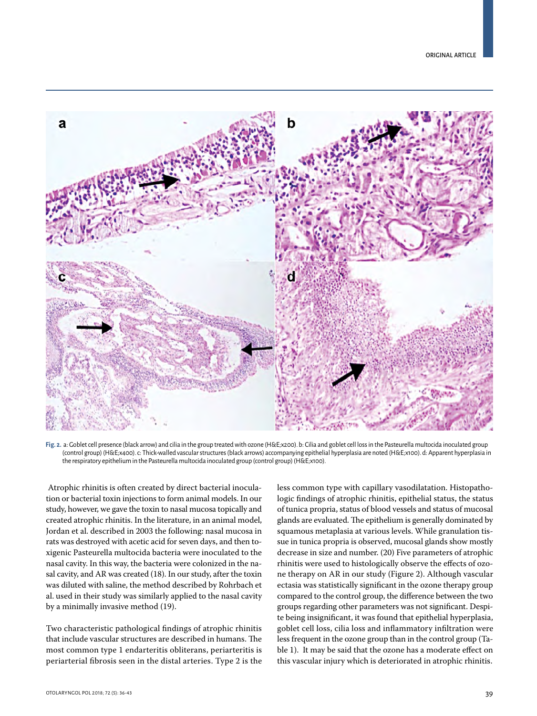

**Fig. 2.** a: Goblet cell presence (black arrow) and cilia in the group treated with ozone (H&E;x200). b: Cilia and goblet cell loss in the Pasteurella multocida inoculated group (control group) (H&E;x400). c: Thick-walled vascular structures (black arrows) accompanying epithelial hyperplasia are noted (H&E;x100). d: Apparent hyperplasia in the respiratory epithelium in the Pasteurella multocida inoculated group (control group) (H&E;x100).

 Atrophic rhinitis is often created by direct bacterial inoculation or bacterial toxin injections to form animal models. In our study, however, we gave the toxin to nasal mucosa topically and created atrophic rhinitis. In the literature, in an animal model, Jordan et al. described in 2003 the following: nasal mucosa in rats was destroyed with acetic acid for seven days, and then toxigenic Pasteurella multocida bacteria were inoculated to the nasal cavity. In this way, the bacteria were colonized in the nasal cavity, and AR was created (18). In our study, after the toxin was diluted with saline, the method described by Rohrbach et al. used in their study was similarly applied to the nasal cavity by a minimally invasive method (19).

Two characteristic pathological findings of atrophic rhinitis that include vascular structures are described in humans. The most common type 1 endarteritis obliterans, periarteritis is periarterial fibrosis seen in the distal arteries. Type 2 is the less common type with capillary vasodilatation. Histopathologic findings of atrophic rhinitis, epithelial status, the status of tunica propria, status of blood vessels and status of mucosal glands are evaluated. The epithelium is generally dominated by squamous metaplasia at various levels. While granulation tissue in tunica propria is observed, mucosal glands show mostly decrease in size and number. (20) Five parameters of atrophic rhinitis were used to histologically observe the effects of ozone therapy on AR in our study (Figure 2). Although vascular ectasia was statistically significant in the ozone therapy group compared to the control group, the difference between the two groups regarding other parameters was not significant. Despite being insignificant, it was found that epithelial hyperplasia, goblet cell loss, cilia loss and inflammatory infiltration were less frequent in the ozone group than in the control group (Table 1). It may be said that the ozone has a moderate effect on this vascular injury which is deteriorated in atrophic rhinitis.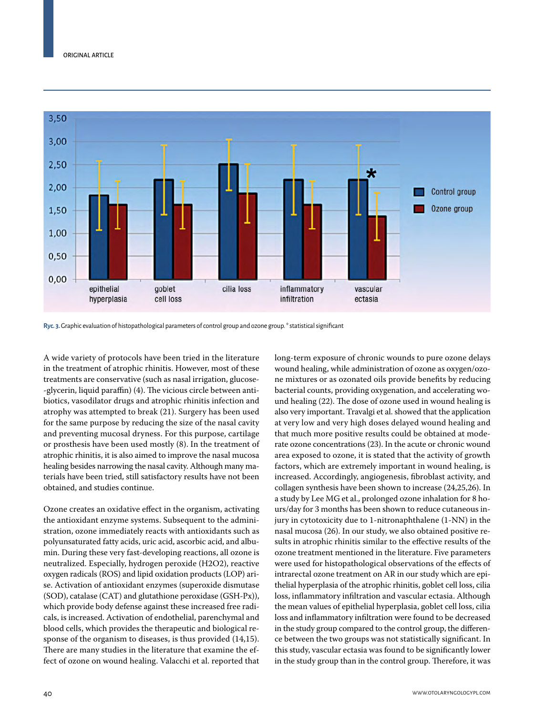

**Ryc. 3.** Graphic evaluation of histopathological parameters of control group and ozone group. \* statistical significant

A wide variety of protocols have been tried in the literature in the treatment of atrophic rhinitis. However, most of these treatments are conservative (such as nasal irrigation, glucose- -glycerin, liquid paraffin) (4). The vicious circle between antibiotics, vasodilator drugs and atrophic rhinitis infection and atrophy was attempted to break (21). Surgery has been used for the same purpose by reducing the size of the nasal cavity and preventing mucosal dryness. For this purpose, cartilage or prosthesis have been used mostly (8). In the treatment of atrophic rhinitis, it is also aimed to improve the nasal mucosa healing besides narrowing the nasal cavity. Although many materials have been tried, still satisfactory results have not been obtained, and studies continue.

Ozone creates an oxidative effect in the organism, activating the antioxidant enzyme systems. Subsequent to the administration, ozone immediately reacts with antioxidants such as polyunsaturated fatty acids, uric acid, ascorbic acid, and albumin. During these very fast-developing reactions, all ozone is neutralized. Especially, hydrogen peroxide (H2O2), reactive oxygen radicals (ROS) and lipid oxidation products (LOP) arise. Activation of antioxidant enzymes (superoxide dismutase (SOD), catalase (CAT) and glutathione peroxidase (GSH-Px)), which provide body defense against these increased free radicals, is increased. Activation of endothelial, parenchymal and blood cells, which provides the therapeutic and biological response of the organism to diseases, is thus provided (14,15). There are many studies in the literature that examine the effect of ozone on wound healing. Valacchi et al. reported that long-term exposure of chronic wounds to pure ozone delays wound healing, while administration of ozone as oxygen/ozone mixtures or as ozonated oils provide benefits by reducing bacterial counts, providing oxygenation, and accelerating wound healing (22). The dose of ozone used in wound healing is also very important. Travalgi et al. showed that the application at very low and very high doses delayed wound healing and that much more positive results could be obtained at moderate ozone concentrations (23). In the acute or chronic wound area exposed to ozone, it is stated that the activity of growth factors, which are extremely important in wound healing, is increased. Accordingly, angiogenesis, fibroblast activity, and collagen synthesis have been shown to increase (24,25,26). In a study by Lee MG et al., prolonged ozone inhalation for 8 hours/day for 3 months has been shown to reduce cutaneous injury in cytotoxicity due to 1-nitronaphthalene (1-NN) in the nasal mucosa (26). In our study, we also obtained positive results in atrophic rhinitis similar to the effective results of the ozone treatment mentioned in the literature. Five parameters were used for histopathological observations of the effects of intrarectal ozone treatment on AR in our study which are epithelial hyperplasia of the atrophic rhinitis, goblet cell loss, cilia loss, inflammatory infiltration and vascular ectasia. Although the mean values of epithelial hyperplasia, goblet cell loss, cilia loss and inflammatory infiltration were found to be decreased in the study group compared to the control group, the difference between the two groups was not statistically significant. In this study, vascular ectasia was found to be significantly lower in the study group than in the control group. Therefore, it was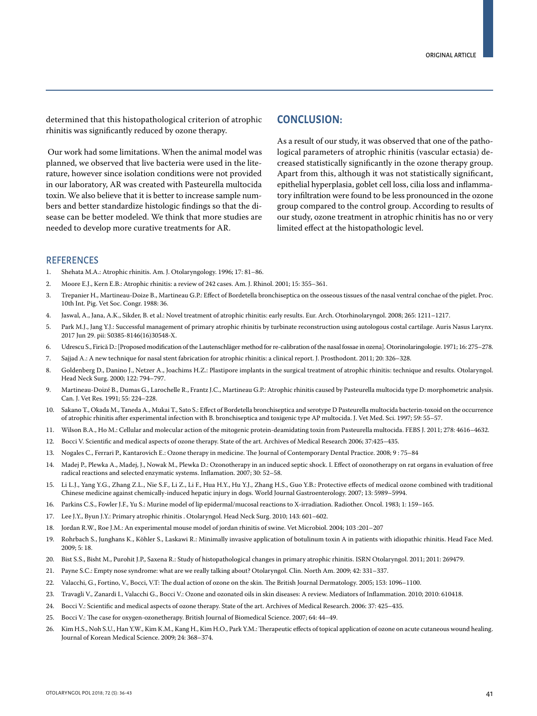determined that this histopathological criterion of atrophic rhinitis was significantly reduced by ozone therapy.

 Our work had some limitations. When the animal model was planned, we observed that live bacteria were used in the literature, however since isolation conditions were not provided in our laboratory, AR was created with Pasteurella multocida toxin. We also believe that it is better to increase sample numbers and better standardize histologic findings so that the disease can be better modeled. We think that more studies are needed to develop more curative treatments for AR.

#### **Conclusion:**

As a result of our study, it was observed that one of the pathological parameters of atrophic rhinitis (vascular ectasia) decreased statistically significantly in the ozone therapy group. Apart from this, although it was not statistically significant, epithelial hyperplasia, goblet cell loss, cilia loss and inflammatory infiltration were found to be less pronounced in the ozone group compared to the control group. According to results of our study, ozone treatment in atrophic rhinitis has no or very limited effect at the histopathologic level.

#### **REFERENCES**

- 1. Shehata M.A.: Atrophic rhinitis. Am. J. Otolaryngology. 1996; 17: 81–86.
- 2. Moore E.J., Kern E.B.: Atrophic rhinitis: a review of 242 cases. Am. J. Rhinol. 2001; 15: 355–361.
- 3. Trepanier H., Martineau-Doize B., Martineau G.P.: Effect of Bordetella bronchiseptica on the osseous tissues of the nasal ventral conchae of the piglet. Proc. 10th Int. Pig. Vet Soc. Congr. 1988: 36.
- 4. Jaswal, A., Jana, A.K., Sikder, B. et al.: Novel treatment of atrophic rhinitis: early results. Eur. Arch. Otorhinolaryngol. 2008; 265: 1211–1217.
- 5. Park M.J., Jang Y.J.: Successful management of primary atrophic rhinitis by turbinate reconstruction using autologous costal cartilage. Auris Nasus Larynx. 2017 Jun 29. pii: S0385-8146(16)30548-X.
- 6. Udrescu S., Firică D.: [Proposed modification of the Lautenschläger method for re-calibration of the nasal fossae in ozena]. Otorinolaringologie. 1971; 16: 275–278.
- 7. Sajjad A.: A new technique for nasal stent fabrication for atrophic rhinitis: a clinical report. J. Prosthodont. 2011; 20: 326–328.
- 8. Goldenberg D., Danino J., Netzer A., Joachims H.Z.: Plastipore implants in the surgical treatment of atrophic rhinitis: technique and results. Otolaryngol. Head Neck Surg. 2000; 122: 794–797.
- 9. Martineau-Doizé B., Dumas G., Larochelle R., Frantz J.C., Martineau G.P.: Atrophic rhinitis caused by Pasteurella multocida type D: morphometric analysis. Can. J. Vet Res. 1991; 55: 224–228.
- 10. Sakano T., Okada M., Taneda A., Mukai T., Sato S.: Effect of Bordetella bronchiseptica and serotype D Pasteurella multocida bacterin-toxoid on the occurrence of atrophic rhinitis after experimental infection with B. bronchiseptica and toxigenic type AP multocida. J. Vet Med. Sci. 1997; 59: 55–57.
- 11. Wilson B.A., Ho M.: Cellular and molecular action of the mitogenic protein-deamidating toxin from Pasteurella multocida. FEBS J. 2011; 278: 4616–4632.
- 12. Bocci V. Scientific and medical aspects of ozone therapy. State of the art. Archives of Medical Research 2006; 37:425–435.
- 13. Nogales C., Ferrari P., Kantarovich E.: Ozone therapy in medicine. The Journal of Contemporary Dental Practice. 2008; 9 : 75–84
- 14. Madej P., Plewka A., Madej, J., Nowak M., Plewka D.: Ozonotherapy in an induced septic shock. I. Effect of ozonotherapy on rat organs in evaluation of free radical reactions and selected enzymatic systems. Inflamation. 2007; 30: 52–58.
- 15. Li L.J., Yang Y.G., Zhang Z.L., Nie S.F., Li Z., Li F., Hua H.Y., Hu Y.J., Zhang H.S., Guo Y.B.: Protective effects of medical ozone combined with traditional Chinese medicine against chemically-induced hepatic injury in dogs. World Journal Gastroenterology. 2007; 13: 5989–5994.
- 16. Parkins C.S., Fowler J.F., Yu S.: Murine model of lip epidermal/mucosal reactions to X-irradiation. Radiother. Oncol. 1983; 1: 159–165.
- 17. Lee J.Y., Byun J.Y.: Primary atrophic rhinitis . Otolaryngol. Head Neck Surg. 2010; 143: 601–602.
- 18. Jordan R.W., Roe J.M.: An experimental mouse model of jordan rhinitis of swine. Vet Microbiol. 2004; 103 :201–207
- 19. Rohrbach S., Junghans K., Köhler S., Laskawi R.: Minimally invasive application of botulinum toxin A in patients with idiopathic rhinitis. Head Face Med. 2009; 5: 18.
- 20. Bist S.S., Bisht M., Purohit J.P., Saxena R.: Study of histopathological changes in primary atrophic rhinitis. ISRN Otolaryngol. 2011; 2011: 269479.
- 21. Payne S.C.: Empty nose syndrome: what are we really talking about? Otolaryngol. Clin. North Am. 2009; 42: 331–337.
- 22. Valacchi, G., Fortino, V., Bocci, V.T: The dual action of ozone on the skin. The British Journal Dermatology. 2005; 153: 1096–1100.
- 23. Travagli V., Zanardi I., Valacchi G., Bocci V.: Ozone and ozonated oils in skin diseases: A review. Mediators of Inflammation. 2010; 2010: 610418.
- 24. Bocci V.: Scientific and medical aspects of ozone therapy. State of the art. Archives of Medical Research. 2006: 37: 425–435.
- 25. Bocci V.: The case for oxygen-ozonetherapy. British Journal of Biomedical Science. 2007; 64: 44–49.
- 26. Kim H.S., Noh S.U., Han Y.W., Kim K.M., Kang H., Kim H.O., Park Y.M.: Therapeutic effects of topical application of ozone on acute cutaneous wound healing. Journal of Korean Medical Science. 2009; 24: 368–374.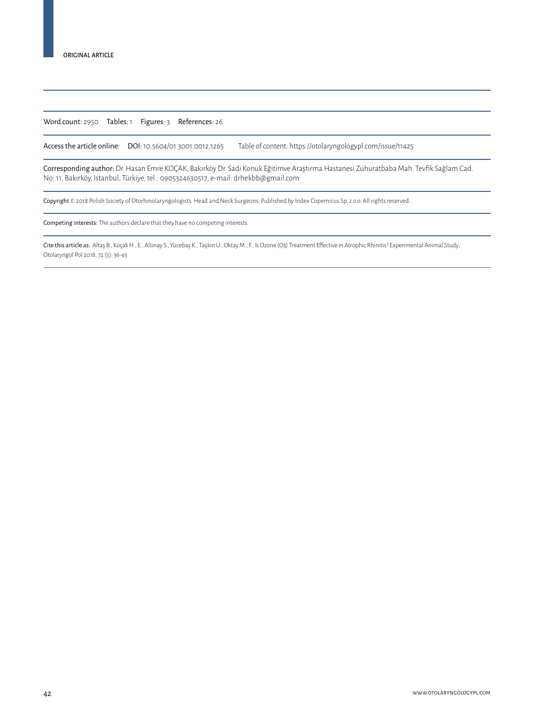#### Word count: 2950 Tables: 1 Figures: 3 References: 26

Access the article online: DOI: 10.5604/01.3001.0012.1265 Table of content: https://otolaryngologypl.com/issue/11425

Corresponding author: Dr. Hasan Emre KOÇAK, Bakırköy Dr. Sadi Konuk Eğitimve Araştırma Hastanesi Zuhuratbaba Mah. Tevfik Sağlam Cad. No: 11, Bakırköy, Istanbul, Türkiye, tel.: 0905324630517, e-mail: drhekbb@gmail.com

Copyright © 2018 Polish Society of Otorhinolaryngologists Head and Neck Surgeons. Published by Index Copernicus Sp. z o.o. All rights reserved.

Competing interests: The authors declare that they have no competing interests.

Cite this article as: Altaş B., Koçak H., E., Altınay S., Yücebaş K., Taşkın Ü., Oktay M., F.; Is Ozone (O3) Treatment Effective in Atrophic Rhinitis? Experimental Animal Study; Otolaryngol Pol 2018; 72 (5): 36-43